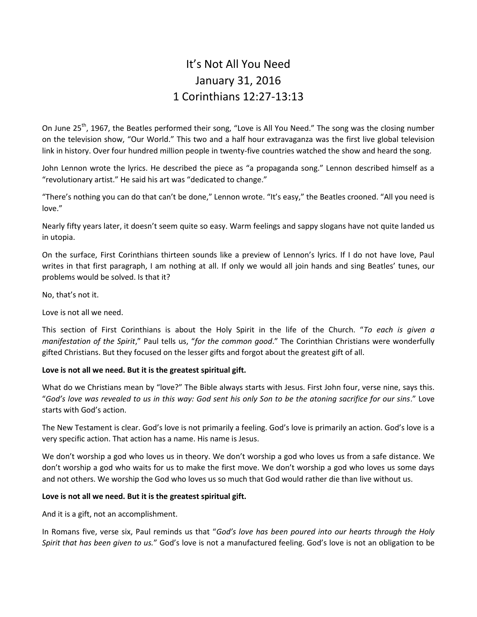# It's Not All You Need January 31, 2016 1 Corinthians 12:27-13:13

On June 25<sup>th</sup>, 1967, the Beatles performed their song, "Love is All You Need." The song was the closing number on the television show, "Our World." This two and a half hour extravaganza was the first live global television link in history. Over four hundred million people in twenty-five countries watched the show and heard the song.

John Lennon wrote the lyrics. He described the piece as "a propaganda song." Lennon described himself as a "revolutionary artist." He said his art was "dedicated to change."

"There's nothing you can do that can't be done," Lennon wrote. "It's easy," the Beatles crooned. "All you need is love."

Nearly fifty years later, it doesn't seem quite so easy. Warm feelings and sappy slogans have not quite landed us in utopia.

On the surface, First Corinthians thirteen sounds like a preview of Lennon's lyrics. If I do not have love, Paul writes in that first paragraph, I am nothing at all. If only we would all join hands and sing Beatles' tunes, our problems would be solved. Is that it?

No, that's not it.

Love is not all we need.

This section of First Corinthians is about the Holy Spirit in the life of the Church. "*To each is given a manifestation of the Spirit*," Paul tells us, "*for the common good*." The Corinthian Christians were wonderfully gifted Christians. But they focused on the lesser gifts and forgot about the greatest gift of all.

# **Love is not all we need. But it is the greatest spiritual gift.**

What do we Christians mean by "love?" The Bible always starts with Jesus. First John four, verse nine, says this. "*God's love was revealed to us in this way: God sent his only Son to be the atoning sacrifice for our sins*." Love starts with God's action.

The New Testament is clear. God's love is not primarily a feeling. God's love is primarily an action. God's love is a very specific action. That action has a name. His name is Jesus.

We don't worship a god who loves us in theory. We don't worship a god who loves us from a safe distance. We don't worship a god who waits for us to make the first move. We don't worship a god who loves us some days and not others. We worship the God who loves us so much that God would rather die than live without us.

# **Love is not all we need. But it is the greatest spiritual gift.**

And it is a gift, not an accomplishment.

In Romans five, verse six, Paul reminds us that "*God's love has been poured into our hearts through the Holy Spirit that has been given to us.*" God's love is not a manufactured feeling. God's love is not an obligation to be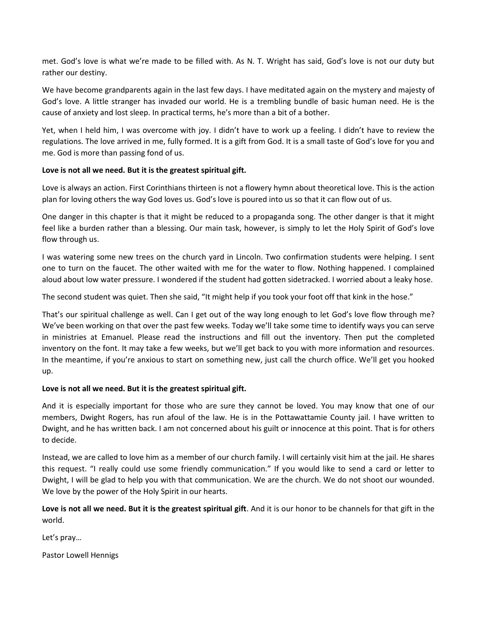met. God's love is what we're made to be filled with. As N. T. Wright has said, God's love is not our duty but rather our destiny.

We have become grandparents again in the last few days. I have meditated again on the mystery and majesty of God's love. A little stranger has invaded our world. He is a trembling bundle of basic human need. He is the cause of anxiety and lost sleep. In practical terms, he's more than a bit of a bother.

Yet, when I held him, I was overcome with joy. I didn't have to work up a feeling. I didn't have to review the regulations. The love arrived in me, fully formed. It is a gift from God. It is a small taste of God's love for you and me. God is more than passing fond of us.

# **Love is not all we need. But it is the greatest spiritual gift.**

Love is always an action. First Corinthians thirteen is not a flowery hymn about theoretical love. This is the action plan for loving others the way God loves us. God's love is poured into us so that it can flow out of us.

One danger in this chapter is that it might be reduced to a propaganda song. The other danger is that it might feel like a burden rather than a blessing. Our main task, however, is simply to let the Holy Spirit of God's love flow through us.

I was watering some new trees on the church yard in Lincoln. Two confirmation students were helping. I sent one to turn on the faucet. The other waited with me for the water to flow. Nothing happened. I complained aloud about low water pressure. I wondered if the student had gotten sidetracked. I worried about a leaky hose.

The second student was quiet. Then she said, "It might help if you took your foot off that kink in the hose."

That's our spiritual challenge as well. Can I get out of the way long enough to let God's love flow through me? We've been working on that over the past few weeks. Today we'll take some time to identify ways you can serve in ministries at Emanuel. Please read the instructions and fill out the inventory. Then put the completed inventory on the font. It may take a few weeks, but we'll get back to you with more information and resources. In the meantime, if you're anxious to start on something new, just call the church office. We'll get you hooked up.

# **Love is not all we need. But it is the greatest spiritual gift.**

And it is especially important for those who are sure they cannot be loved. You may know that one of our members, Dwight Rogers, has run afoul of the law. He is in the Pottawattamie County jail. I have written to Dwight, and he has written back. I am not concerned about his guilt or innocence at this point. That is for others to decide.

Instead, we are called to love him as a member of our church family. I will certainly visit him at the jail. He shares this request. "I really could use some friendly communication." If you would like to send a card or letter to Dwight, I will be glad to help you with that communication. We are the church. We do not shoot our wounded. We love by the power of the Holy Spirit in our hearts.

**Love is not all we need. But it is the greatest spiritual gift**. And it is our honor to be channels for that gift in the world.

Let's pray…

Pastor Lowell Hennigs